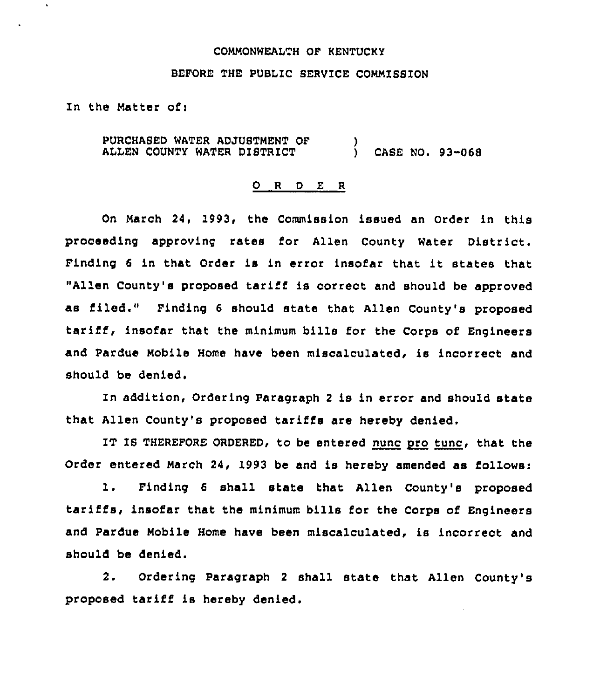## COMMONWEALTH OF KENTUCKY

## BEFORE THE PUBLIC SERVICE COMMISSION

In the Matter of:

 $\ddot{\phantom{0}}$ 

PURCHASED WATER ADJUSTMENT OF ALLEN COUNTY WATER DISTRICT ) ) CASE NO. 93-068

## 0 <sup>R</sup> <sup>D</sup> <sup>E</sup> <sup>R</sup>

On March 24, 1993, the Commission issued an Order in this proceeding approving rates for Allen County Water District. Finding <sup>6</sup> in that Order is in error insofar that it states that "Allen County's proposed tariff is correct and should be approved as filed." Finding <sup>6</sup> should state that Allen County's proposed tariff, insofar that the minimum bills for the Corps of Engineers and Pardue Mobile Home have been miscalculated, is incorrect and should be denied.

In addition, Ordering Paragraph <sup>2</sup> is in error and should state that Allen County's proposed tariffs are hereby denied.

IT IS THEREFORE ORDERED, to be entered nunc pro tunc, that the Order entered March 24, 1993 be and is hereby amended as follows:

1. Finding <sup>6</sup> shall state that Allen County's proposed tariffs, insofar that the minimum bills for the Corps of Engineers and Pardue Mobile Home have been miscalculated, is incorrect and should be denied.

2. Ordering Paragraph <sup>2</sup> shall state that Allen County's proposed tariff is hereby denied.